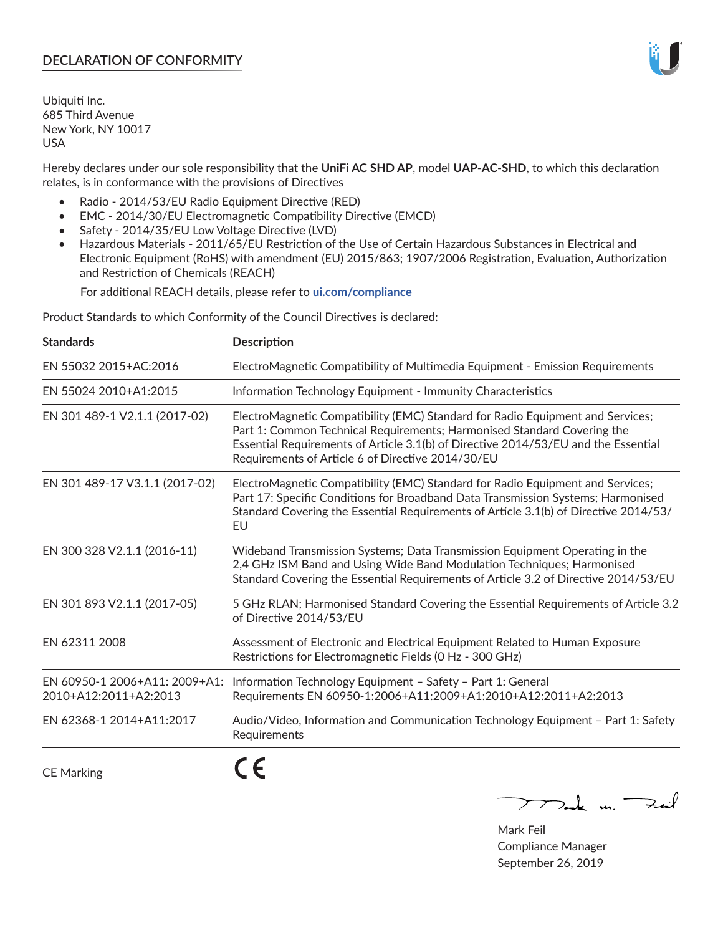# **DECLARATION OF CONFORMITY**

Ubiquiti Inc. 685 Third Avenue New York, NY 10017 USA

Hereby declares under our sole responsibility that the **UniFi AC SHD AP**, model **UAP-AC-SHD**, to which this declaration relates, is in conformance with the provisions of Directives

- Radio 2014/53/EU Radio Equipment Directive (RED)
- EMC 2014/30/EU Electromagnetic Compatibility Directive (EMCD)
- Safety 2014/35/EU Low Voltage Directive (LVD)
- Hazardous Materials 2011/65/EU Restriction of the Use of Certain Hazardous Substances in Electrical and Electronic Equipment (RoHS) with amendment (EU) 2015/863; 1907/2006 Registration, Evaluation, Authorization and Restriction of Chemicals (REACH)

For additional REACH details, please refer to **[ui.com/compliance](https://dl.ui.com/compliance/REACH_Compliance_Declaration.pdf)**

Product Standards to which Conformity of the Council Directives is declared:

| <b>Standards</b>                                       | <b>Description</b>                                                                                                                                                                                                                                                                                   |
|--------------------------------------------------------|------------------------------------------------------------------------------------------------------------------------------------------------------------------------------------------------------------------------------------------------------------------------------------------------------|
| EN 55032 2015+AC:2016                                  | ElectroMagnetic Compatibility of Multimedia Equipment - Emission Requirements                                                                                                                                                                                                                        |
| EN 55024 2010+A1:2015                                  | Information Technology Equipment - Immunity Characteristics                                                                                                                                                                                                                                          |
| EN 301 489-1 V2.1.1 (2017-02)                          | ElectroMagnetic Compatibility (EMC) Standard for Radio Equipment and Services;<br>Part 1: Common Technical Requirements; Harmonised Standard Covering the<br>Essential Requirements of Article 3.1(b) of Directive 2014/53/EU and the Essential<br>Requirements of Article 6 of Directive 2014/30/EU |
| EN 301 489-17 V3.1.1 (2017-02)                         | ElectroMagnetic Compatibility (EMC) Standard for Radio Equipment and Services;<br>Part 17: Specific Conditions for Broadband Data Transmission Systems; Harmonised<br>Standard Covering the Essential Requirements of Article 3.1(b) of Directive 2014/53/<br>EU                                     |
| EN 300 328 V2.1.1 (2016-11)                            | Wideband Transmission Systems; Data Transmission Equipment Operating in the<br>2,4 GHz ISM Band and Using Wide Band Modulation Techniques; Harmonised<br>Standard Covering the Essential Requirements of Article 3.2 of Directive 2014/53/EU                                                         |
| EN 301 893 V2.1.1 (2017-05)                            | 5 GHz RLAN; Harmonised Standard Covering the Essential Requirements of Article 3.2<br>of Directive 2014/53/EU                                                                                                                                                                                        |
| EN 62311 2008                                          | Assessment of Electronic and Electrical Equipment Related to Human Exposure<br>Restrictions for Electromagnetic Fields (0 Hz - 300 GHz)                                                                                                                                                              |
| EN 60950-1 2006+A11: 2009+A1:<br>2010+A12:2011+A2:2013 | Information Technology Equipment - Safety - Part 1: General<br>Requirements EN 60950-1:2006+A11:2009+A1:2010+A12:2011+A2:2013                                                                                                                                                                        |
| EN 62368-1 2014+A11:2017                               | Audio/Video, Information and Communication Technology Equipment - Part 1: Safety<br>Requirements                                                                                                                                                                                                     |
| <b>CE Marking</b>                                      |                                                                                                                                                                                                                                                                                                      |

Tak m. Fail  $\overline{\phantom{1}}$ 

Mark Feil Compliance Manager September 26, 2019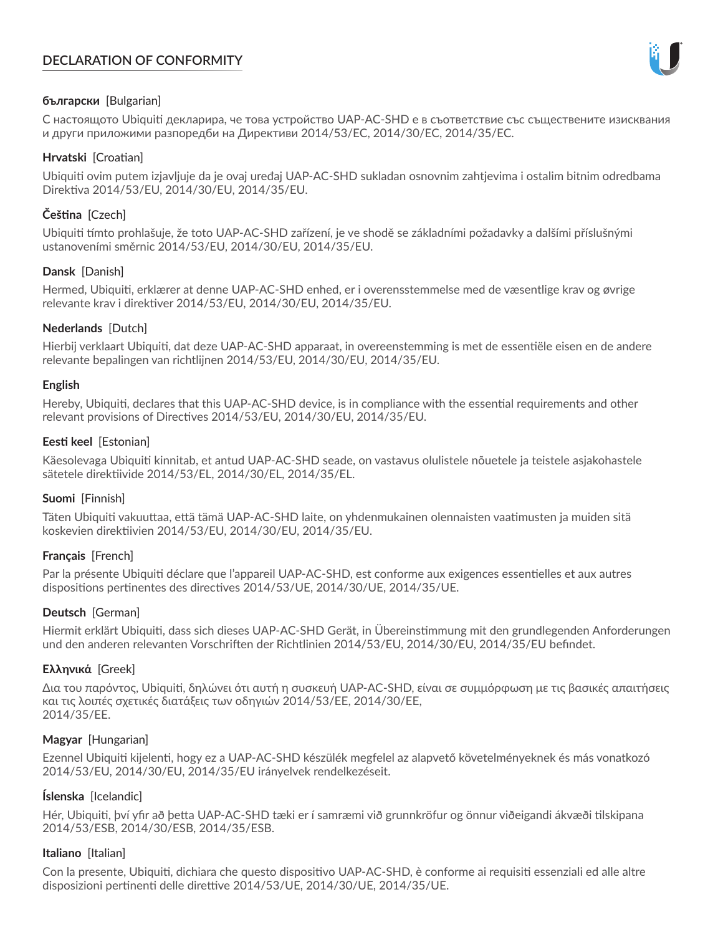# **DECLARATION OF CONFORMITY**



## **български** [Bulgarian]

С настоящото Ubiquiti декларира, че това устройство UAP-AC-SHD е в съответствие със съществените изисквания и други приложими разпоредби на Директиви 2014/53/EC, 2014/30/ЕС, 2014/35/ЕС.

## **Hrvatski** [Croatian]

Ubiquiti ovim putem izjavljuje da je ovaj uređaj UAP-AC-SHD sukladan osnovnim zahtjevima i ostalim bitnim odredbama Direktiva 2014/53/EU, 2014/30/EU, 2014/35/EU.

# **Čeština** [Czech]

Ubiquiti tímto prohlašuje, že toto UAP-AC-SHD zařízení, je ve shodě se základními požadavky a dalšími příslušnými ustanoveními směrnic 2014/53/EU, 2014/30/EU, 2014/35/EU.

# **Dansk** [Danish]

Hermed, Ubiquiti, erklærer at denne UAP-AC-SHD enhed, er i overensstemmelse med de væsentlige krav og øvrige relevante krav i direktiver 2014/53/EU, 2014/30/EU, 2014/35/EU.

# **Nederlands** [Dutch]

Hierbij verklaart Ubiquiti, dat deze UAP-AC-SHD apparaat, in overeenstemming is met de essentiële eisen en de andere relevante bepalingen van richtlijnen 2014/53/EU, 2014/30/EU, 2014/35/EU.

## **English**

Hereby, Ubiquiti, declares that this UAP-AC-SHD device, is in compliance with the essential requirements and other relevant provisions of Directives 2014/53/EU, 2014/30/EU, 2014/35/EU.

## **Eesti keel** [Estonian]

Käesolevaga Ubiquiti kinnitab, et antud UAP-AC-SHD seade, on vastavus olulistele nõuetele ja teistele asjakohastele sätetele direktiivide 2014/53/EL, 2014/30/EL, 2014/35/EL.

## **Suomi** [Finnish]

Täten Ubiquiti vakuuttaa, että tämä UAP-AC-SHD laite, on yhdenmukainen olennaisten vaatimusten ja muiden sitä koskevien direktiivien 2014/53/EU, 2014/30/EU, 2014/35/EU.

## **Français** [French]

Par la présente Ubiquiti déclare que l'appareil UAP-AC-SHD, est conforme aux exigences essentielles et aux autres dispositions pertinentes des directives 2014/53/UE, 2014/30/UE, 2014/35/UE.

## **Deutsch** [German]

Hiermit erklärt Ubiquiti, dass sich dieses UAP-AC-SHD Gerät, in Übereinstimmung mit den grundlegenden Anforderungen und den anderen relevanten Vorschriften der Richtlinien 2014/53/EU, 2014/30/EU, 2014/35/EU befindet.

## **Ελληνικά** [Greek]

Δια του παρόντος, Ubiquiti, δηλώνει ότι αυτή η συσκευή UAP-AC-SHD, είναι σε συμμόρφωση με τις βασικές απαιτήσεις και τις λοιπές σχετικές διατάξεις των οδηγιών 2014/53/EE, 2014/30/EE, 2014/35/EE.

## **Magyar** [Hungarian]

Ezennel Ubiquiti kijelenti, hogy ez a UAP-AC-SHD készülék megfelel az alapvető követelményeknek és más vonatkozó 2014/53/EU, 2014/30/EU, 2014/35/EU irányelvek rendelkezéseit.

## **Íslenska** [Icelandic]

Hér, Ubiquiti, því yfir að þetta UAP-AC-SHD tæki er í samræmi við grunnkröfur og önnur viðeigandi ákvæði tilskipana 2014/53/ESB, 2014/30/ESB, 2014/35/ESB.

## **Italiano** [Italian]

Con la presente, Ubiquiti, dichiara che questo dispositivo UAP-AC-SHD, è conforme ai requisiti essenziali ed alle altre disposizioni pertinenti delle direttive 2014/53/UE, 2014/30/UE, 2014/35/UE.